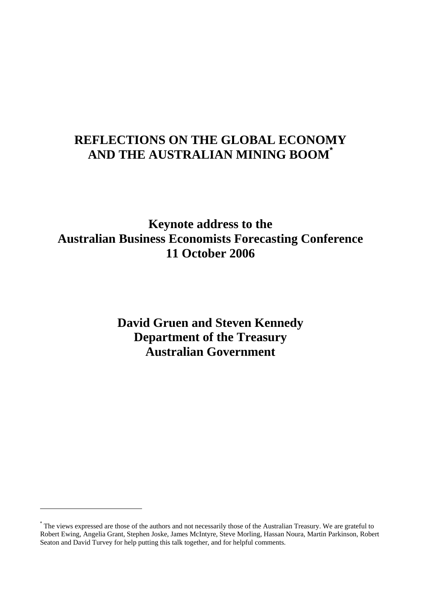## **REFLECTIONS ON THE GLOBAL ECONOMY AND THE AUSTRALIAN MINING BOOM\***

**Keynote address to the Australian Business Economists Forecasting Conference 11 October 2006** 

> **David Gruen and Steven Kennedy Department of the Treasury Australian Government**

<sup>\*</sup> The views expressed are those of the authors and not necessarily those of the Australian Treasury. We are grateful to Robert Ewing, Angelia Grant, Stephen Joske, James McIntyre, Steve Morling, Hassan Noura, Martin Parkinson, Robert Seaton and David Turvey for help putting this talk together, and for helpful comments.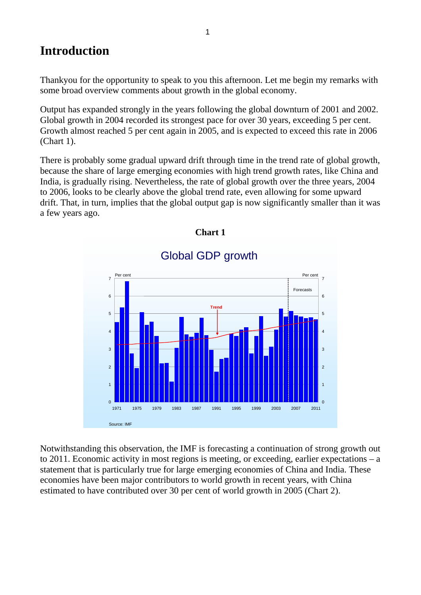## **Introduction**

Thankyou for the opportunity to speak to you this afternoon. Let me begin my remarks with some broad overview comments about growth in the global economy.

Output has expanded strongly in the years following the global downturn of 2001 and 2002. Global growth in 2004 recorded its strongest pace for over 30 years, exceeding 5 per cent. Growth almost reached 5 per cent again in 2005, and is expected to exceed this rate in 2006 (Chart 1).

There is probably some gradual upward drift through time in the trend rate of global growth, because the share of large emerging economies with high trend growth rates, like China and India, is gradually rising. Nevertheless, the rate of global growth over the three years, 2004 to 2006, looks to be clearly above the global trend rate, even allowing for some upward drift. That, in turn, implies that the global output gap is now significantly smaller than it was a few years ago.



### **Chart 1**

Notwithstanding this observation, the IMF is forecasting a continuation of strong growth out to 2011. Economic activity in most regions is meeting, or exceeding, earlier expectations – a statement that is particularly true for large emerging economies of China and India. These economies have been major contributors to world growth in recent years, with China estimated to have contributed over 30 per cent of world growth in 2005 (Chart 2).

# Global GDP growth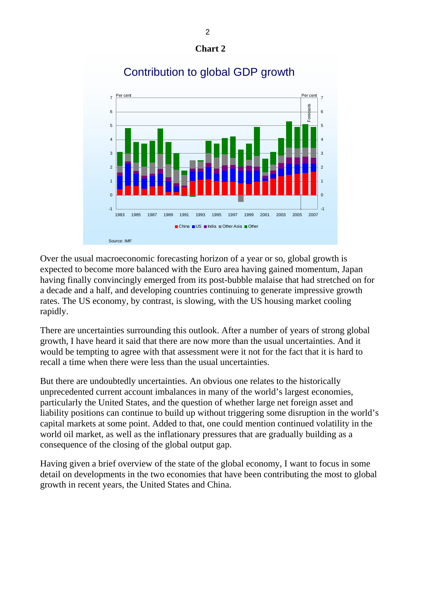



## Contribution to global GDP growth

Over the usual macroeconomic forecasting horizon of a year or so, global growth is expected to become more balanced with the Euro area having gained momentum, Japan having finally convincingly emerged from its post-bubble malaise that had stretched on for a decade and a half, and developing countries continuing to generate impressive growth rates. The US economy, by contrast, is slowing, with the US housing market cooling rapidly.

There are uncertainties surrounding this outlook. After a number of years of strong global growth, I have heard it said that there are now more than the usual uncertainties. And it would be tempting to agree with that assessment were it not for the fact that it is hard to recall a time when there were less than the usual uncertainties.

But there are undoubtedly uncertainties. An obvious one relates to the historically unprecedented current account imbalances in many of the world's largest economies, particularly the United States, and the question of whether large net foreign asset and liability positions can continue to build up without triggering some disruption in the world's capital markets at some point. Added to that, one could mention continued volatility in the world oil market, as well as the inflationary pressures that are gradually building as a consequence of the closing of the global output gap.

Having given a brief overview of the state of the global economy, I want to focus in some detail on developments in the two economies that have been contributing the most to global growth in recent years, the United States and China.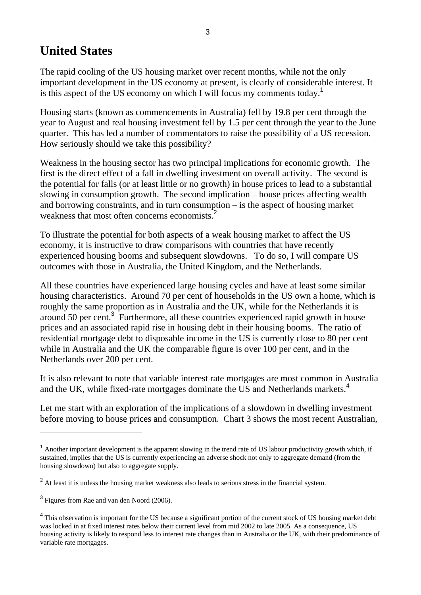## **United States**

The rapid cooling of the US housing market over recent months, while not the only important development in the US economy at present, is clearly of considerable interest. It is this aspect of the US economy on which I will focus my comments today.<sup>1</sup>

Housing starts (known as commencements in Australia) fell by 19.8 per cent through the year to August and real housing investment fell by 1.5 per cent through the year to the June quarter. This has led a number of commentators to raise the possibility of a US recession. How seriously should we take this possibility?

Weakness in the housing sector has two principal implications for economic growth. The first is the direct effect of a fall in dwelling investment on overall activity. The second is the potential for falls (or at least little or no growth) in house prices to lead to a substantial slowing in consumption growth. The second implication – house prices affecting wealth and borrowing constraints, and in turn consumption – is the aspect of housing market weakness that most often concerns economists.<sup>2</sup>

To illustrate the potential for both aspects of a weak housing market to affect the US economy, it is instructive to draw comparisons with countries that have recently experienced housing booms and subsequent slowdowns. To do so, I will compare US outcomes with those in Australia, the United Kingdom, and the Netherlands.

All these countries have experienced large housing cycles and have at least some similar housing characteristics. Around 70 per cent of households in the US own a home, which is roughly the same proportion as in Australia and the UK, while for the Netherlands it is around 50 per cent.<sup>3</sup> Furthermore, all these countries experienced rapid growth in house prices and an associated rapid rise in housing debt in their housing booms. The ratio of residential mortgage debt to disposable income in the US is currently close to 80 per cent while in Australia and the UK the comparable figure is over 100 per cent, and in the Netherlands over 200 per cent.

It is also relevant to note that variable interest rate mortgages are most common in Australia and the UK, while fixed-rate mortgages dominate the US and Netherlands markets.<sup>4</sup>

Let me start with an exploration of the implications of a slowdown in dwelling investment before moving to house prices and consumption. Chart 3 shows the most recent Australian,

 $1$  Another important development is the apparent slowing in the trend rate of US labour productivity growth which, if sustained, implies that the US is currently experiencing an adverse shock not only to aggregate demand (from the housing slowdown) but also to aggregate supply.

 $2<sup>2</sup>$  At least it is unless the housing market weakness also leads to serious stress in the financial system.

<sup>&</sup>lt;sup>3</sup> Figures from Rae and van den Noord (2006).

<sup>&</sup>lt;sup>4</sup> This observation is important for the US because a significant portion of the current stock of US housing market debt was locked in at fixed interest rates below their current level from mid 2002 to late 2005. As a consequence, US housing activity is likely to respond less to interest rate changes than in Australia or the UK, with their predominance of variable rate mortgages.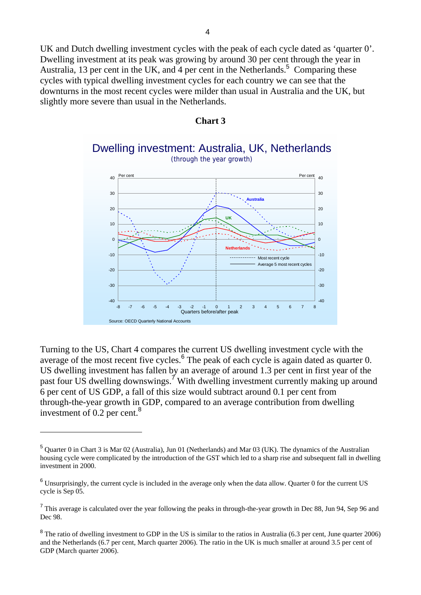UK and Dutch dwelling investment cycles with the peak of each cycle dated as 'quarter 0'. Dwelling investment at its peak was growing by around 30 per cent through the year in Australia, 13 per cent in the UK, and 4 per cent in the Netherlands.<sup>5</sup> Comparing these cycles with typical dwelling investment cycles for each country we can see that the downturns in the most recent cycles were milder than usual in Australia and the UK, but slightly more severe than usual in the Netherlands.



Dwelling investment: Australia, UK, Netherlands (through the year growth)



Turning to the US, Chart 4 compares the current US dwelling investment cycle with the average of the most recent five cycles.<sup>6</sup> The peak of each cycle is again dated as quarter 0. US dwelling investment has fallen by an average of around 1.3 per cent in first year of the past four US dwelling downswings.<sup>7</sup> With dwelling investment currently making up around 6 per cent of US GDP, a fall of this size would subtract around 0.1 per cent from through-the-year growth in GDP, compared to an average contribution from dwelling investment of  $0.2$  per cent.<sup>8</sup>

<sup>&</sup>lt;sup>5</sup> Quarter 0 in Chart 3 is Mar 02 (Australia), Jun 01 (Netherlands) and Mar 03 (UK). The dynamics of the Australian housing cycle were complicated by the introduction of the GST which led to a sharp rise and subsequent fall in dwelling investment in 2000.

 $6$  Unsurprisingly, the current cycle is included in the average only when the data allow. Quarter 0 for the current US cycle is Sep 05.

<sup>&</sup>lt;sup>7</sup> This average is calculated over the year following the peaks in through-the-year growth in Dec 88, Jun 94, Sep 96 and Dec 98.

 $8$  The ratio of dwelling investment to GDP in the US is similar to the ratios in Australia (6.3 per cent, June quarter 2006) and the Netherlands (6.7 per cent, March quarter 2006). The ratio in the UK is much smaller at around 3.5 per cent of GDP (March quarter 2006).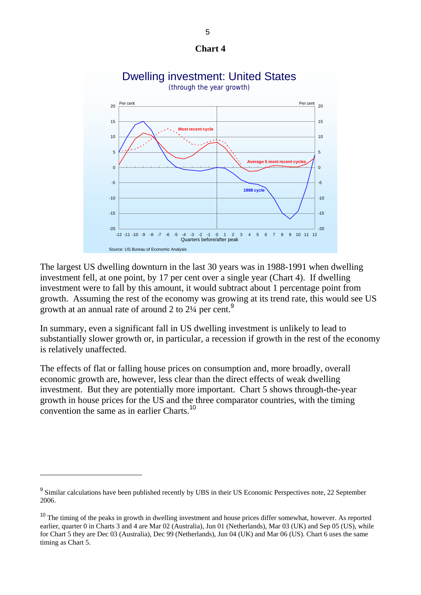





The largest US dwelling downturn in the last 30 years was in 1988-1991 when dwelling investment fell, at one point, by 17 per cent over a single year (Chart 4). If dwelling investment were to fall by this amount, it would subtract about 1 percentage point from growth. Assuming the rest of the economy was growing at its trend rate, this would see US growth at an annual rate of around 2 to  $2\frac{1}{4}$  per cent.<sup>9</sup>

In summary, even a significant fall in US dwelling investment is unlikely to lead to substantially slower growth or, in particular, a recession if growth in the rest of the economy is relatively unaffected.

The effects of flat or falling house prices on consumption and, more broadly, overall economic growth are, however, less clear than the direct effects of weak dwelling investment. But they are potentially more important. Chart 5 shows through-the-year growth in house prices for the US and the three comparator countries, with the timing convention the same as in earlier Charts.<sup>10</sup>

<sup>&</sup>lt;sup>9</sup> Similar calculations have been published recently by UBS in their US Economic Perspectives note, 22 September 2006.

<sup>&</sup>lt;sup>10</sup> The timing of the peaks in growth in dwelling investment and house prices differ somewhat, however. As reported earlier, quarter 0 in Charts 3 and 4 are Mar 02 (Australia), Jun 01 (Netherlands), Mar 03 (UK) and Sep 05 (US), while for Chart 5 they are Dec 03 (Australia), Dec 99 (Netherlands), Jun 04 (UK) and Mar 06 (US). Chart 6 uses the same timing as Chart 5.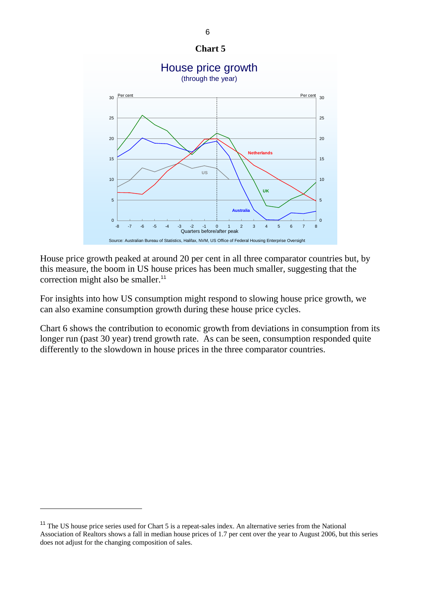

House price growth peaked at around 20 per cent in all three comparator countries but, by this measure, the boom in US house prices has been much smaller, suggesting that the correction might also be smaller.<sup>11</sup>

For insights into how US consumption might respond to slowing house price growth, we can also examine consumption growth during these house price cycles.

Chart 6 shows the contribution to economic growth from deviations in consumption from its longer run (past 30 year) trend growth rate. As can be seen, consumption responded quite differently to the slowdown in house prices in the three comparator countries.

<sup>&</sup>lt;sup>11</sup> The US house price series used for Chart 5 is a repeat-sales index. An alternative series from the National Association of Realtors shows a fall in median house prices of 1.7 per cent over the year to August 2006, but this series does not adjust for the changing composition of sales.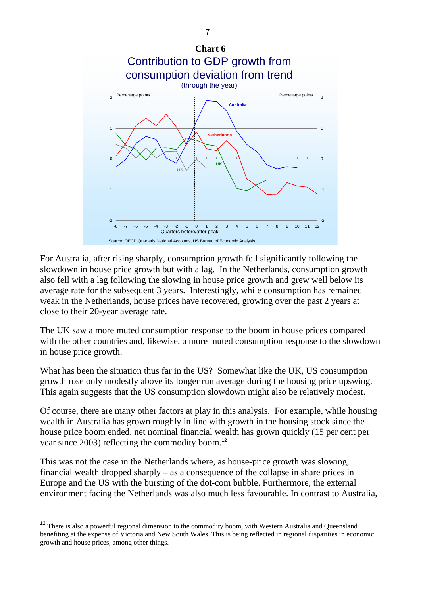

For Australia, after rising sharply, consumption growth fell significantly following the slowdown in house price growth but with a lag. In the Netherlands, consumption growth also fell with a lag following the slowing in house price growth and grew well below its average rate for the subsequent 3 years. Interestingly, while consumption has remained weak in the Netherlands, house prices have recovered, growing over the past 2 years at close to their 20-year average rate.

The UK saw a more muted consumption response to the boom in house prices compared with the other countries and, likewise, a more muted consumption response to the slowdown in house price growth.

What has been the situation thus far in the US? Somewhat like the UK, US consumption growth rose only modestly above its longer run average during the housing price upswing. This again suggests that the US consumption slowdown might also be relatively modest.

Of course, there are many other factors at play in this analysis. For example, while housing wealth in Australia has grown roughly in line with growth in the housing stock since the house price boom ended, net nominal financial wealth has grown quickly (15 per cent per year since 2003) reflecting the commodity boom.<sup>12</sup>

This was not the case in the Netherlands where, as house-price growth was slowing, financial wealth dropped sharply – as a consequence of the collapse in share prices in Europe and the US with the bursting of the dot-com bubble. Furthermore, the external environment facing the Netherlands was also much less favourable. In contrast to Australia,

<sup>&</sup>lt;sup>12</sup> There is also a powerful regional dimension to the commodity boom, with Western Australia and Queensland benefiting at the expense of Victoria and New South Wales. This is being reflected in regional disparities in economic growth and house prices, among other things.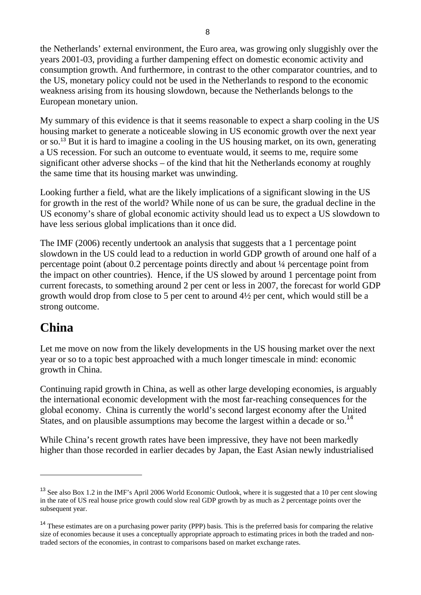the Netherlands' external environment, the Euro area, was growing only sluggishly over the years 2001-03, providing a further dampening effect on domestic economic activity and consumption growth. And furthermore, in contrast to the other comparator countries, and to the US, monetary policy could not be used in the Netherlands to respond to the economic weakness arising from its housing slowdown, because the Netherlands belongs to the European monetary union.

My summary of this evidence is that it seems reasonable to expect a sharp cooling in the US housing market to generate a noticeable slowing in US economic growth over the next year or so.<sup>13</sup> But it is hard to imagine a cooling in the US housing market, on its own, generating a US recession. For such an outcome to eventuate would, it seems to me, require some significant other adverse shocks – of the kind that hit the Netherlands economy at roughly the same time that its housing market was unwinding.

Looking further a field, what are the likely implications of a significant slowing in the US for growth in the rest of the world? While none of us can be sure, the gradual decline in the US economy's share of global economic activity should lead us to expect a US slowdown to have less serious global implications than it once did.

The IMF (2006) recently undertook an analysis that suggests that a 1 percentage point slowdown in the US could lead to a reduction in world GDP growth of around one half of a percentage point (about 0.2 percentage points directly and about ¼ percentage point from the impact on other countries). Hence, if the US slowed by around 1 percentage point from current forecasts, to something around 2 per cent or less in 2007, the forecast for world GDP growth would drop from close to 5 per cent to around 4½ per cent, which would still be a strong outcome.

## **China**

 $\overline{a}$ 

Let me move on now from the likely developments in the US housing market over the next year or so to a topic best approached with a much longer timescale in mind: economic growth in China.

Continuing rapid growth in China, as well as other large developing economies, is arguably the international economic development with the most far-reaching consequences for the global economy. China is currently the world's second largest economy after the United States, and on plausible assumptions may become the largest within a decade or so.<sup>14</sup>

While China's recent growth rates have been impressive, they have not been markedly higher than those recorded in earlier decades by Japan, the East Asian newly industrialised

<sup>&</sup>lt;sup>13</sup> See also Box 1.2 in the IMF's April 2006 World Economic Outlook, where it is suggested that a 10 per cent slowing in the rate of US real house price growth could slow real GDP growth by as much as 2 percentage points over the subsequent year.

<sup>&</sup>lt;sup>14</sup> These estimates are on a purchasing power parity (PPP) basis. This is the preferred basis for comparing the relative size of economies because it uses a conceptually appropriate approach to estimating prices in both the traded and nontraded sectors of the economies, in contrast to comparisons based on market exchange rates.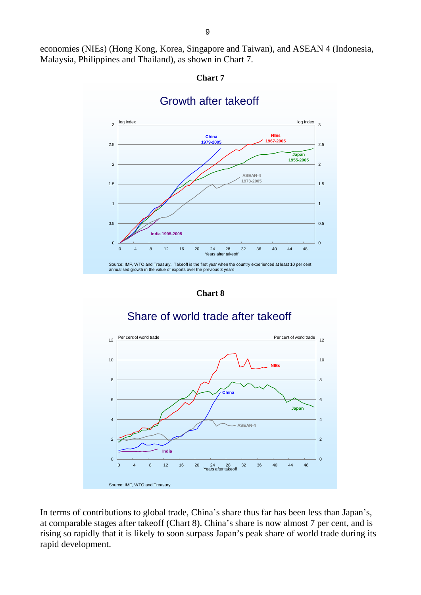economies (NIEs) (Hong Kong, Korea, Singapore and Taiwan), and ASEAN 4 (Indonesia, Malaysia, Philippines and Thailand), as shown in Chart 7.





### Growth after takeoff

**Chart 8** 

## Share of world trade after takeoff



In terms of contributions to global trade, China's share thus far has been less than Japan's, at comparable stages after takeoff (Chart 8). China's share is now almost 7 per cent, and is rising so rapidly that it is likely to soon surpass Japan's peak share of world trade during its rapid development.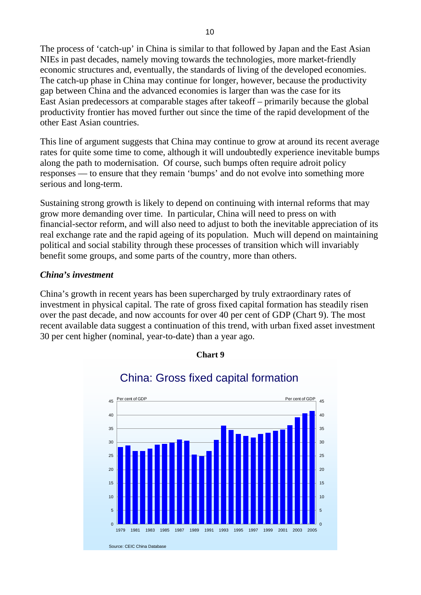The process of 'catch-up' in China is similar to that followed by Japan and the East Asian NIEs in past decades, namely moving towards the technologies, more market-friendly economic structures and, eventually, the standards of living of the developed economies. The catch-up phase in China may continue for longer, however, because the productivity gap between China and the advanced economies is larger than was the case for its East Asian predecessors at comparable stages after takeoff – primarily because the global productivity frontier has moved further out since the time of the rapid development of the other East Asian countries.

This line of argument suggests that China may continue to grow at around its recent average rates for quite some time to come, although it will undoubtedly experience inevitable bumps along the path to modernisation. Of course, such bumps often require adroit policy responses — to ensure that they remain 'bumps' and do not evolve into something more serious and long-term.

Sustaining strong growth is likely to depend on continuing with internal reforms that may grow more demanding over time. In particular, China will need to press on with financial-sector reform, and will also need to adjust to both the inevitable appreciation of its real exchange rate and the rapid ageing of its population. Much will depend on maintaining political and social stability through these processes of transition which will invariably benefit some groups, and some parts of the country, more than others.

### *China's investment*

China's growth in recent years has been supercharged by truly extraordinary rates of investment in physical capital. The rate of gross fixed capital formation has steadily risen over the past decade, and now accounts for over 40 per cent of GDP (Chart 9). The most recent available data suggest a continuation of this trend, with urban fixed asset investment 30 per cent higher (nominal, year-to-date) than a year ago.

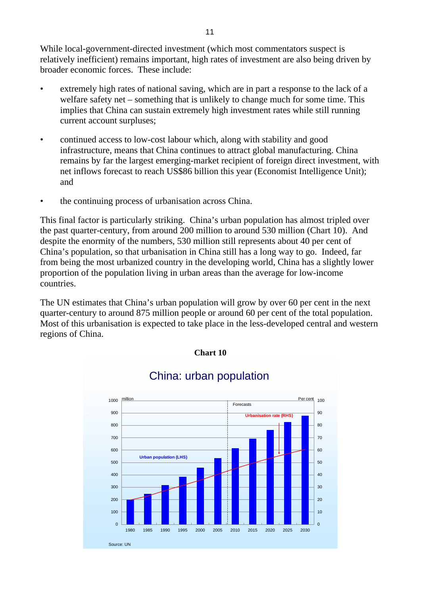While local-government-directed investment (which most commentators suspect is relatively inefficient) remains important, high rates of investment are also being driven by broader economic forces. These include:

- extremely high rates of national saving, which are in part a response to the lack of a welfare safety net – something that is unlikely to change much for some time. This implies that China can sustain extremely high investment rates while still running current account surpluses;
- continued access to low-cost labour which, along with stability and good infrastructure, means that China continues to attract global manufacturing. China remains by far the largest emerging-market recipient of foreign direct investment, with net inflows forecast to reach US\$86 billion this year (Economist Intelligence Unit); and
- the continuing process of urbanisation across China.

This final factor is particularly striking. China's urban population has almost tripled over the past quarter-century, from around 200 million to around 530 million (Chart 10). And despite the enormity of the numbers, 530 million still represents about 40 per cent of China's population, so that urbanisation in China still has a long way to go. Indeed, far from being the most urbanized country in the developing world, China has a slightly lower proportion of the population living in urban areas than the average for low-income countries.

The UN estimates that China's urban population will grow by over 60 per cent in the next quarter-century to around 875 million people or around 60 per cent of the total population. Most of this urbanisation is expected to take place in the less-developed central and western regions of China.

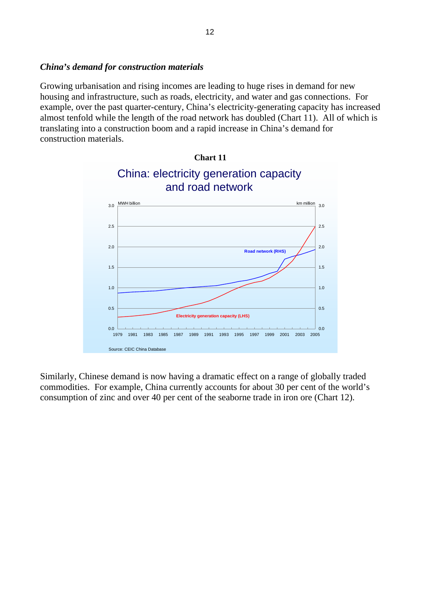### *China's demand for construction materials*

Growing urbanisation and rising incomes are leading to huge rises in demand for new housing and infrastructure, such as roads, electricity, and water and gas connections. For example, over the past quarter-century, China's electricity-generating capacity has increased almost tenfold while the length of the road network has doubled (Chart 11). All of which is translating into a construction boom and a rapid increase in China's demand for construction materials.



Similarly, Chinese demand is now having a dramatic effect on a range of globally traded commodities. For example, China currently accounts for about 30 per cent of the world's consumption of zinc and over 40 per cent of the seaborne trade in iron ore (Chart 12).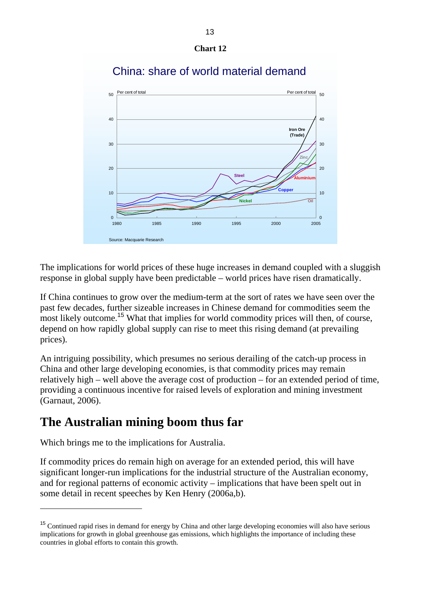



### China: share of world material demand

The implications for world prices of these huge increases in demand coupled with a sluggish response in global supply have been predictable – world prices have risen dramatically.

If China continues to grow over the medium-term at the sort of rates we have seen over the past few decades, further sizeable increases in Chinese demand for commodities seem the most likely outcome.<sup>15</sup> What that implies for world commodity prices will then, of course, depend on how rapidly global supply can rise to meet this rising demand (at prevailing prices).

An intriguing possibility, which presumes no serious derailing of the catch-up process in China and other large developing economies, is that commodity prices may remain relatively high – well above the average cost of production – for an extended period of time, providing a continuous incentive for raised levels of exploration and mining investment (Garnaut, 2006).

## **The Australian mining boom thus far**

Which brings me to the implications for Australia.

 $\overline{a}$ 

If commodity prices do remain high on average for an extended period, this will have significant longer-run implications for the industrial structure of the Australian economy, and for regional patterns of economic activity – implications that have been spelt out in some detail in recent speeches by Ken Henry (2006a,b).

<sup>&</sup>lt;sup>15</sup> Continued rapid rises in demand for energy by China and other large developing economies will also have serious implications for growth in global greenhouse gas emissions, which highlights the importance of including these countries in global efforts to contain this growth.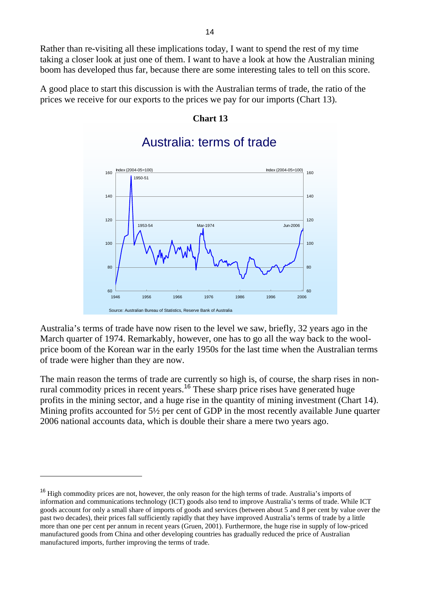Rather than re-visiting all these implications today, I want to spend the rest of my time taking a closer look at just one of them. I want to have a look at how the Australian mining boom has developed thus far, because there are some interesting tales to tell on this score.

A good place to start this discussion is with the Australian terms of trade, the ratio of the prices we receive for our exports to the prices we pay for our imports (Chart 13).

### **Chart 13**



### Australia: terms of trade

Australia's terms of trade have now risen to the level we saw, briefly, 32 years ago in the March quarter of 1974. Remarkably, however, one has to go all the way back to the woolprice boom of the Korean war in the early 1950s for the last time when the Australian terms of trade were higher than they are now.

The main reason the terms of trade are currently so high is, of course, the sharp rises in nonrural commodity prices in recent years.<sup>16</sup> These sharp price rises have generated huge profits in the mining sector, and a huge rise in the quantity of mining investment (Chart 14). Mining profits accounted for 5½ per cent of GDP in the most recently available June quarter 2006 national accounts data, which is double their share a mere two years ago.

<sup>&</sup>lt;sup>16</sup> High commodity prices are not, however, the only reason for the high terms of trade. Australia's imports of information and communications technology (ICT) goods also tend to improve Australia's terms of trade. While ICT goods account for only a small share of imports of goods and services (between about 5 and 8 per cent by value over the past two decades), their prices fall sufficiently rapidly that they have improved Australia's terms of trade by a little more than one per cent per annum in recent years (Gruen, 2001). Furthermore, the huge rise in supply of low-priced manufactured goods from China and other developing countries has gradually reduced the price of Australian manufactured imports, further improving the terms of trade.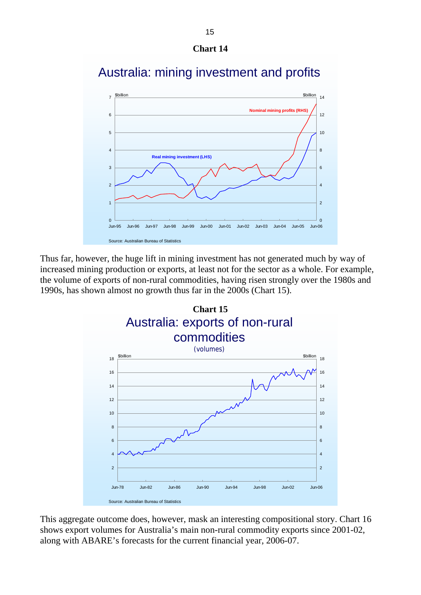



## Australia: mining investment and profits

Thus far, however, the huge lift in mining investment has not generated much by way of increased mining production or exports, at least not for the sector as a whole. For example, the volume of exports of non-rural commodities, having risen strongly over the 1980s and 1990s, has shown almost no growth thus far in the 2000s (Chart 15).



This aggregate outcome does, however, mask an interesting compositional story. Chart 16 shows export volumes for Australia's main non-rural commodity exports since 2001-02, along with ABARE's forecasts for the current financial year, 2006-07.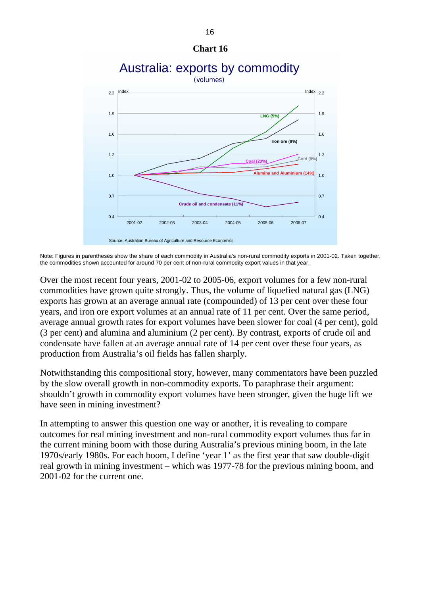

Note: Figures in parentheses show the share of each commodity in Australia's non-rural commodity exports in 2001-02. Taken together, the commodities shown accounted for around 70 per cent of non-rural commodity export values in that year.

Over the most recent four years, 2001-02 to 2005-06, export volumes for a few non-rural commodities have grown quite strongly. Thus, the volume of liquefied natural gas (LNG) exports has grown at an average annual rate (compounded) of 13 per cent over these four years, and iron ore export volumes at an annual rate of 11 per cent. Over the same period, average annual growth rates for export volumes have been slower for coal (4 per cent), gold (3 per cent) and alumina and aluminium (2 per cent). By contrast, exports of crude oil and condensate have fallen at an average annual rate of 14 per cent over these four years, as production from Australia's oil fields has fallen sharply.

Notwithstanding this compositional story, however, many commentators have been puzzled by the slow overall growth in non-commodity exports. To paraphrase their argument: shouldn't growth in commodity export volumes have been stronger, given the huge lift we have seen in mining investment?

In attempting to answer this question one way or another, it is revealing to compare outcomes for real mining investment and non-rural commodity export volumes thus far in the current mining boom with those during Australia's previous mining boom, in the late 1970s/early 1980s. For each boom, I define 'year 1' as the first year that saw double-digit real growth in mining investment – which was 1977-78 for the previous mining boom, and 2001-02 for the current one.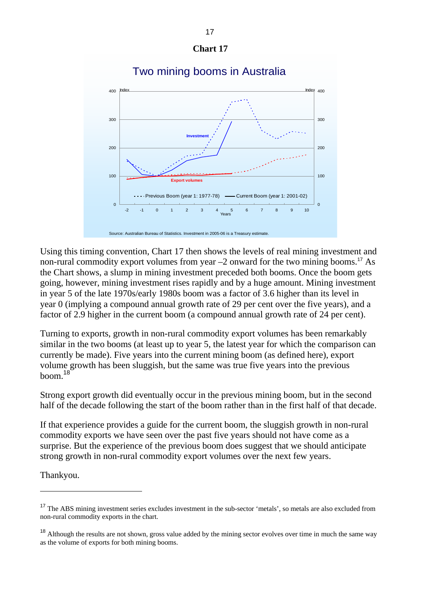

### Two mining booms in Australia

Using this timing convention, Chart 17 then shows the levels of real mining investment and non-rural commodity export volumes from year  $-2$  onward for the two mining booms.<sup>17</sup> As the Chart shows, a slump in mining investment preceded both booms. Once the boom gets going, however, mining investment rises rapidly and by a huge amount. Mining investment in year 5 of the late 1970s/early 1980s boom was a factor of 3.6 higher than its level in year 0 (implying a compound annual growth rate of 29 per cent over the five years), and a factor of 2.9 higher in the current boom (a compound annual growth rate of 24 per cent).

Turning to exports, growth in non-rural commodity export volumes has been remarkably similar in the two booms (at least up to year 5, the latest year for which the comparison can currently be made). Five years into the current mining boom (as defined here), export volume growth has been sluggish, but the same was true five years into the previous  $\frac{18}{9}$ 

Strong export growth did eventually occur in the previous mining boom, but in the second half of the decade following the start of the boom rather than in the first half of that decade.

If that experience provides a guide for the current boom, the sluggish growth in non-rural commodity exports we have seen over the past five years should not have come as a surprise. But the experience of the previous boom does suggest that we should anticipate strong growth in non-rural commodity export volumes over the next few years.

Thankyou.

 $\overline{a}$ 

<sup>&</sup>lt;sup>17</sup> The ABS mining investment series excludes investment in the sub-sector 'metals', so metals are also excluded from non-rural commodity exports in the chart.

<sup>&</sup>lt;sup>18</sup> Although the results are not shown, gross value added by the mining sector evolves over time in much the same way as the volume of exports for both mining booms.